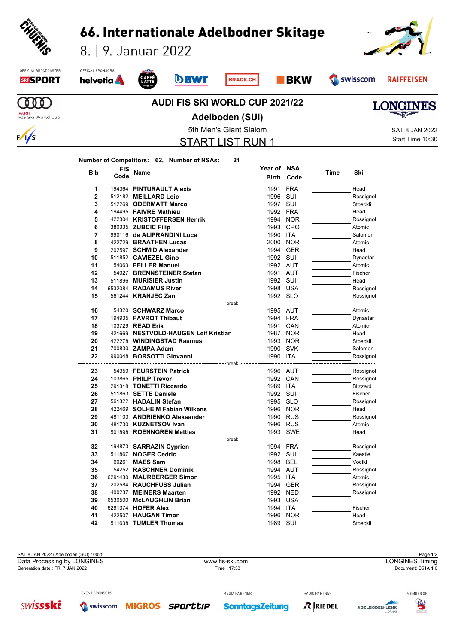

| 42                                      | 511638 TUMLER Thomas |                 | 1989 SUI | Stoeckli               |  |
|-----------------------------------------|----------------------|-----------------|----------|------------------------|--|
|                                         |                      |                 |          |                        |  |
|                                         |                      |                 |          |                        |  |
| SAT 8 JAN 2022 / Adelboden (SUI) / 0025 |                      |                 |          | Page 1/2               |  |
| Data Processing by LONGINES             |                      | www.fis-ski.com |          | <b>LONGINES Timing</b> |  |
| Generation date: FRI 7 JAN 2022         |                      | Time: 17:33     |          | Document: C51A 1.0     |  |

6530500 **McLAUGHLIN Brian** 1993 USA

RADIO PARTNER



EVENT SPONSORS **SWISSSKE** S swisscom **MIGROS** SPOrttiP

**SonntagsZeitung** 

MEDIA PARTNER

 481730 **KUZNETSOV Ivan 1996 RUS** 1996 **AUS** Atomic Atomic 1996 RUS Atomic Atomic 1993 SWE **31 501898 ROENNGREN Mattias 1993 SWE Head** break 194873 **SARRAZIN Cyprien** 1994 FRA Rossignol 511867 **NOGER Cedric** 1992 SUI Kaestle 60261 **MAES Sam 1998 BEL Voelkl**  54252 **RASCHNER Dominik** 1994 AUT Rossignol 6291430 **MAURBERGER Simon** 1995 ITA **Atomic** Atomic **37 202584 RAUCHFUSS Julian 1994 GER Rossignol** 400237 **MEINERS Maarten** 1992 NED Rossignol

 6291374 **HOFER Alex** 1994 ITA Fischer 422507 **HAUGAN Timon** 1996 NOR Head

 $R$  RIEDEL

ADELBODEN-LENK